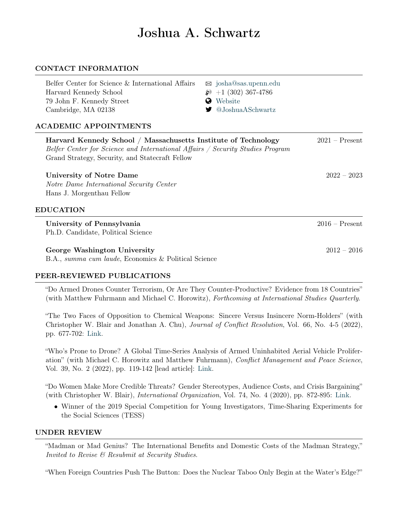# Joshua A. Schwartz

## CONTACT INFORMATION

| Belfer Center for Science & International Affairs                                                                                                                                                   | $\boxtimes$ josha@sas.upenn.edu |                  |
|-----------------------------------------------------------------------------------------------------------------------------------------------------------------------------------------------------|---------------------------------|------------------|
| Harvard Kennedy School                                                                                                                                                                              | $\wp$ +1 (302) 367-4786         |                  |
| 79 John F. Kennedy Street                                                                                                                                                                           | Website<br>Q                    |                  |
| Cambridge, MA 02138                                                                                                                                                                                 | @JoshuaASchwartz                |                  |
| <b>ACADEMIC APPOINTMENTS</b>                                                                                                                                                                        |                                 |                  |
| Harvard Kennedy School / Massachusetts Institute of Technology<br>Belfer Center for Science and International Affairs / Security Studies Program<br>Grand Strategy, Security, and Statecraft Fellow |                                 | $2021 -$ Present |
| <b>University of Notre Dame</b>                                                                                                                                                                     |                                 | $2022 - 2023$    |
| Notre Dame International Security Center                                                                                                                                                            |                                 |                  |
| Hans J. Morgenthau Fellow                                                                                                                                                                           |                                 |                  |
| <b>EDUCATION</b>                                                                                                                                                                                    |                                 |                  |
| University of Pennsylvania                                                                                                                                                                          |                                 | $2016$ – Present |
| Ph.D. Candidate, Political Science                                                                                                                                                                  |                                 |                  |
| George Washington University                                                                                                                                                                        |                                 | $2012 - 2016$    |
| B.A., summa cum laude, Economics & Political Science                                                                                                                                                |                                 |                  |

# PEER-REVIEWED PUBLICATIONS

"Do Armed Drones Counter Terrorism, Or Are They Counter-Productive? Evidence from 18 Countries" (with Matthew Fuhrmann and Michael C. Horowitz), Forthcoming at International Studies Quarterly.

"The Two Faces of Opposition to Chemical Weapons: Sincere Versus Insincere Norm-Holders" (with Christopher W. Blair and Jonathan A. Chu), Journal of Conflict Resolution, Vol. 66, No. 4-5 (2022), pp. 677-702: [Link.](https://doi.org/10.1177/00220027211057057)

"Who's Prone to Drone? A Global Time-Series Analysis of Armed Uninhabited Aerial Vehicle Proliferation" (with Michael C. Horowitz and Matthew Fuhrmann), Conflict Management and Peace Science, Vol. 39, No. 2 (2022), pp. 119-142 [lead article]: [Link.](https://doi.org/10.1177/0738894220966572)

"Do Women Make More Credible Threats? Gender Stereotypes, Audience Costs, and Crisis Bargaining" (with Christopher W. Blair), International Organization, Vol. 74, No. 4 (2020), pp. 872-895: [Link.](https://doi.org/10.1017/S0020818320000223)

• Winner of the 2019 Special Competition for Young Investigators, Time-Sharing Experiments for the Social Sciences (TESS)

### UNDER REVIEW

"Madman or Mad Genius? The International Benefits and Domestic Costs of the Madman Strategy," Invited to Revise & Resubmit at Security Studies.

"When Foreign Countries Push The Button: Does the Nuclear Taboo Only Begin at the Water's Edge?"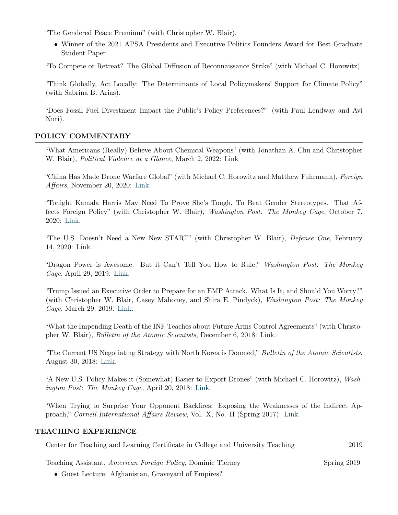"The Gendered Peace Premium" (with Christopher W. Blair).

• Winner of the 2021 APSA Presidents and Executive Politics Founders Award for Best Graduate Student Paper

"To Compete or Retreat? The Global Diffusion of Reconnaissance Strike" (with Michael C. Horowitz).

"Think Globally, Act Locally: The Determinants of Local Policymakers' Support for Climate Policy" (with Sabrina B. Arias).

"Does Fossil Fuel Divestment Impact the Public's Policy Preferences?" (with Paul Lendway and Avi Nuri).

# POLICY COMMENTARY

"What Americans (Really) Believe About Chemical Weapons" (with Jonathan A. Chu and Christopher W. Blair), Political Violence at a Glance, March 2, 2022: [Link](https://politicalviolenceataglance.org/2022/03/02/what-americans-really-believe-about-chemical-weapons/)

"China Has Made Drone Warfare Global" (with Michael C. Horowitz and Matthew Fuhrmann), Foreign Affairs, November 20, 2020: [Link.](https://www.foreignaffairs.com/articles/china/2020-11-20/china-has-made-drone-warfare-global)

"Tonight Kamala Harris May Need To Prove She's Tough, To Beat Gender Stereotypes. That Affects Foreign Policy" (with Christopher W. Blair), Washington Post: The Monkey Cage, October 7, 2020: [Link.](https://www.washingtonpost.com/politics/2020/10/07/tonight-kamala-harris-may-need-prove-shes-tough-beat-gender-stereotypes-that-affects-foreign-policy/?utm_source=twitter&utm_campaign=wp_monkeycage&utm_medium=social)

"The U.S. Doesn't Need a New New START" (with Christopher W. Blair), Defense One, February 14, 2020: [Link.](https://www.defenseone.com/ideas/2020/02/us-doesnt-need-new-new-start/163132/)

"Dragon Power is Awesome. But it Can't Tell You How to Rule," Washington Post: The Monkey Cage, April 29, 2019: [Link.](https://www.washingtonpost.com/politics/2019/04/29/dragon-power-is-awesome-it-cant-tell-you-how-rule/?utm_term=.663e6d29a15f)

"Trump Issued an Executive Order to Prepare for an EMP Attack. What Is It, and Should You Worry?" (with Christopher W. Blair, Casey Mahoney, and Shira E. Pindyck), Washington Post: The Monkey Cage, March 29, 2019: [Link.](https://www.washingtonpost.com/politics/2019/03/29/trump-issued-an-executive-order-prepare-an-emp-attack-what-is-it-should-you-worry/?noredirect=on&utm_term=.fd830fad978d)

"What the Impending Death of the INF Teaches about Future Arms Control Agreements" (with Christopher W. Blair), Bulletin of the Atomic Scientists, December 6, 2018: [Link.](https://thebulletin.org/2018/12/what-the-impending-death-of-the-inf-teaches-about-future-arms-control-agreements/)

"The Current US Negotiating Strategy with North Korea is Doomed," Bulletin of the Atomic Scientists, August 30, 2018: [Link.](https://thebulletin.org/2018/08/the-current-us-negotiating-strategy-with-north-korea-is-doomed/)

"A New U.S. Policy Makes it (Somewhat) Easier to Export Drones" (with Michael C. Horowitz), Washington Post: The Monkey Cage, April 20, 2018: [Link.](https://www.washingtonpost.com/news/monkey-cage/wp/2018/04/20/a-new-u-s-policy-makes-it-somewhat-easier-to-export-drones/)

"When Trying to Surprise Your Opponent Backfires: Exposing the Weaknesses of the Indirect Approach," Cornell International Affairs Review, Vol. X, No. II (Spring 2017): [Link.](http://www.inquiriesjournal.com/articles/1647/when-trying-to-surprise-your-opponents-backfires-exposing-the-weaknesses-of-the-indirect-approach)

# TEACHING EXPERIENCE

Center for Teaching and Learning Certificate in College and University Teaching 2019

Teaching Assistant, American Foreign Policy, Dominic Tierney Spring 2019

• Guest Lecture: Afghanistan, Graveyard of Empires?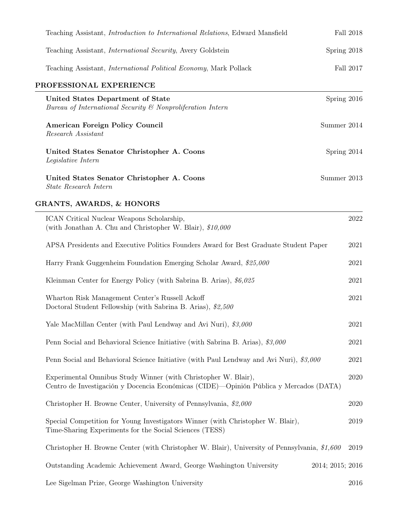| Teaching Assistant, <i>Introduction to International Relations</i> , Edward Mansfield                                                                    | Fall 2018   |
|----------------------------------------------------------------------------------------------------------------------------------------------------------|-------------|
| Teaching Assistant, <i>International Security</i> , Avery Goldstein                                                                                      | Spring 2018 |
| Teaching Assistant, <i>International Political Economy</i> , Mark Pollack                                                                                | Fall 2017   |
| PROFESSIONAL EXPERIENCE                                                                                                                                  |             |
| United States Department of State<br>Bureau of International Security & Nonproliferation Intern                                                          | Spring 2016 |
| American Foreign Policy Council<br>Research Assistant                                                                                                    | Summer 2014 |
| United States Senator Christopher A. Coons<br>Legislative Intern                                                                                         | Spring 2014 |
| United States Senator Christopher A. Coons<br>State Research Intern                                                                                      | Summer 2013 |
| <b>GRANTS, AWARDS, &amp; HONORS</b>                                                                                                                      |             |
| ICAN Critical Nuclear Weapons Scholarship,<br>(with Jonathan A. Chu and Christopher W. Blair), $$10,000$                                                 | 2022        |
| APSA Presidents and Executive Politics Founders Award for Best Graduate Student Paper                                                                    | 2021        |
| Harry Frank Guggenheim Foundation Emerging Scholar Award, \$25,000                                                                                       | 2021        |
| Kleinman Center for Energy Policy (with Sabrina B. Arias), $$6,025$                                                                                      | 2021        |
| Wharton Risk Management Center's Russell Ackoff<br>Doctoral Student Fellowship (with Sabrina B. Arias), \$2,500                                          | 2021        |
| Yale MacMillan Center (with Paul Lendway and Avi Nuri), \$3,000                                                                                          | 2021        |
| Penn Social and Behavioral Science Initiative (with Sabrina B. Arias), \$3,000                                                                           | 2021        |
| Penn Social and Behavioral Science Initiative (with Paul Lendway and Avi Nuri), \$3,000                                                                  | 2021        |
| Experimental Omnibus Study Winner (with Christopher W. Blair),<br>Centro de Investigación y Docencia Económicas (CIDE)—Opinión Pública y Mercados (DATA) | 2020        |
| Christopher H. Browne Center, University of Pennsylvania, \$2,000                                                                                        | 2020        |
| Special Competition for Young Investigators Winner (with Christopher W. Blair),<br>Time-Sharing Experiments for the Social Sciences (TESS)               | 2019        |
| Christopher H. Browne Center (with Christopher W. Blair), University of Pennsylvania, \$1,600                                                            | 2019        |
| Outstanding Academic Achievement Award, George Washington University<br>2014; 2015; 2016                                                                 |             |
| Lee Sigelman Prize, George Washington University                                                                                                         | 2016        |